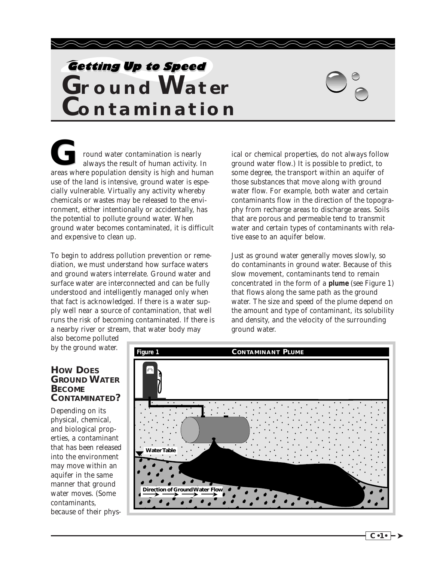# **Getting Up to Speed<br>GROUND WATER Contamination**



round water contamination is nearly always the result of human activity. In areas where population density is high and human use of the land is intensive, ground water is especially vulnerable. Virtually any activity whereby chemicals or wastes may be released to the environment, either intentionally or accidentally, has the potential to pollute ground water. When ground water becomes contaminated, it is difficult and expensive to clean up. **G**

To begin to address pollution prevention or remediation, we must understand how surface waters and ground waters interrelate. Ground water and surface water are interconnected and can be fully understood and intelligently managed only when that fact is acknowledged. If there is a water supply well near a source of contamination, that well runs the risk of becoming contaminated. If there is a nearby river or stream, that water body may

ical or chemical properties, do not always follow ground water flow.) It is possible to predict, to some degree, the transport within an aquifer of those substances that move along with ground water flow. For example, both water and certain contaminants flow in the direction of the topography from recharge areas to discharge areas. Soils that are porous and permeable tend to transmit water and certain types of contaminants with relative ease to an aquifer below.

Just as ground water generally moves slowly, so do contaminants in ground water. Because of this slow movement, contaminants tend to remain concentrated in the form of a **plume** (see Figure 1) that flows along the same path as the ground water. The size and speed of the plume depend on the amount and type of contaminant, its solubility and density, and the velocity of the surrounding ground water.

 $C \cdot 1 \cdot$ 

also become polluted by the ground water.

#### **HOW DOES GROUND WATER BECOME CONTAMINATED?**

Depending on its physical, chemical, and biological properties, a contaminant that has been released into the environment may move within an aquifer in the same manner that ground water moves. (Some contaminants, because of their phys-

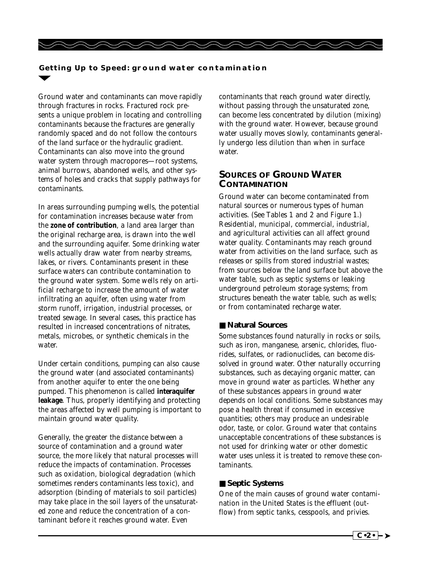

Ground water and contaminants can move rapidly through fractures in rocks. Fractured rock presents a unique problem in locating and controlling contaminants because the fractures are generally randomly spaced and do not follow the contours of the land surface or the hydraulic gradient. Contaminants can also move into the ground water system through macropores—root systems, animal burrows, abandoned wells, and other systems of holes and cracks that supply pathways for contaminants.

In areas surrounding pumping wells, the potential for contamination increases because water from the **zone of contribution**, a land area larger than the original recharge area, is drawn into the well and the surrounding aquifer. Some drinking water wells actually draw water from nearby streams, lakes, or rivers. Contaminants present in these surface waters can contribute contamination to the ground water system. Some wells rely on artificial recharge to increase the amount of water infiltrating an aquifer, often using water from storm runoff, irrigation, industrial processes, or treated sewage. In several cases, this practice has resulted in increased concentrations of nitrates, metals, microbes, or synthetic chemicals in the water.

Under certain conditions, pumping can also cause the ground water (and associated contaminants) from another aquifer to enter the one being pumped. This phenomenon is called **interaquifer leakage**. Thus, properly identifying and protecting the areas affected by well pumping is important to maintain ground water quality.

Generally, the greater the distance between a source of contamination and a ground water source, the more likely that natural processes will reduce the impacts of contamination. Processes such as oxidation, biological degradation (which sometimes renders contaminants less toxic), and adsorption (binding of materials to soil particles) may take place in the soil layers of the unsaturated zone and reduce the concentration of a contaminant before it reaches ground water. Even

contaminants that reach ground water directly, without passing through the unsaturated zone, can become less concentrated by dilution (mixing) with the ground water. However, because ground water usually moves slowly, contaminants generally undergo less dilution than when in surface water.

#### **SOURCES OF GROUND WATER CONTAMINATION**

Ground water can become contaminated from natural sources or numerous types of human activities. (See Tables 1 and 2 and Figure 1.) Residential, municipal, commercial, industrial, and agricultural activities can all affect ground water quality. Contaminants may reach ground water from activities on the land surface, such as releases or spills from stored industrial wastes; from sources below the land surface but above the water table, such as septic systems or leaking underground petroleum storage systems; from structures beneath the water table, such as wells; or from contaminated recharge water.

#### ■ **Natural Sources**

Some substances found naturally in rocks or soils, such as iron, manganese, arsenic, chlorides, fluorides, sulfates, or radionuclides, can become dissolved in ground water. Other naturally occurring substances, such as decaying organic matter, can move in ground water as particles. Whether any of these substances appears in ground water depends on local conditions. Some substances may pose a health threat if consumed in excessive quantities; others may produce an undesirable odor, taste, or color. Ground water that contains unacceptable concentrations of these substances is not used for drinking water or other domestic water uses unless it is treated to remove these contaminants.

#### ■ Septic Systems

One of the main causes of ground water contamination in the United States is the effluent (outflow) from septic tanks, cesspools, and privies.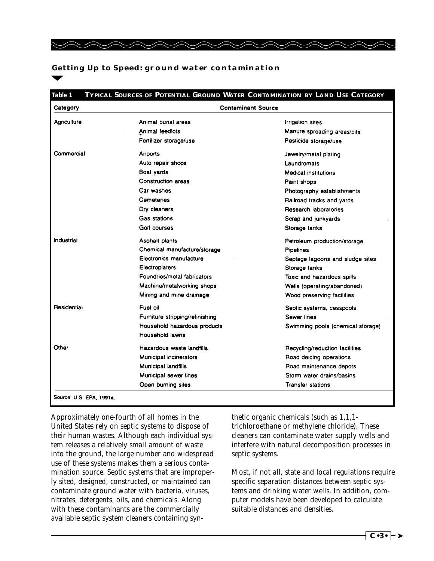| TYPICAL SOURCES OF POTENTIAL GROUND WATER CONTAMINATION BY LAND USE CATEGORY<br>Table 1 |                                 |                                   |
|-----------------------------------------------------------------------------------------|---------------------------------|-----------------------------------|
| Category                                                                                | <b>Contaminant Source</b>       |                                   |
| Agriculture                                                                             | Animal burial areas             | Irrigation sites                  |
|                                                                                         | Animal feedlots                 | Manure spreading areas/pits       |
|                                                                                         | Fertilizer storage/use          | Pesticide storage/use             |
| Commercial                                                                              | Airports                        | Jewelry/metal plating             |
|                                                                                         | Auto repair shops               | Laundromats                       |
|                                                                                         | Boat yards                      | <b>Medical institutions</b>       |
|                                                                                         | Construction areas              | Paint shops                       |
|                                                                                         | Car washes                      | Photography establishments        |
|                                                                                         | Cemeteries                      | Railroad tracks and yards         |
|                                                                                         | Dry cleaners                    | Research laboratories             |
|                                                                                         | <b>Gas stations</b>             | Scrap and junkyards               |
|                                                                                         | Golf courses                    | Storage tanks                     |
| <b>Industrial</b>                                                                       | Asphalt plants                  | Petroleum production/storage      |
|                                                                                         | Chemical manufacture/storage    | Pipelines                         |
|                                                                                         | Electronics manufacture         | Septage lagoons and sludge sites  |
|                                                                                         | <b>Electroplaters</b>           | Storage tanks                     |
|                                                                                         | Foundries/metal fabricators     | Toxic and hazardous spills        |
|                                                                                         | Machine/metalworking shops      | Wells (operating/abandoned)       |
|                                                                                         | Mining and mine drainage        | Wood preserving facilities        |
| Residential                                                                             | Fuel oil                        | Septic systems, cesspools         |
|                                                                                         | Furniture stripping/refinishing | Sewer lines                       |
|                                                                                         | Household hazardous products    | Swimming pools (chemical storage) |
|                                                                                         | Household lawns                 |                                   |
| Other                                                                                   | Hazardous waste landfills       | Recycling/reduction facilities    |
|                                                                                         | Municipal incinerators          | Road deicing operations           |
|                                                                                         | Municipal landfills             | Road maintenance depots           |
|                                                                                         | Municipal sewer lines           | Storm water drains/basins         |
|                                                                                         | Open burning sites              | <b>Transfer stations</b>          |

Approximately one-fourth of all homes in the United States rely on septic systems to dispose of their human wastes. Although each individual system releases a relatively small amount of waste into the ground, the large number and widespread use of these systems makes them a serious contamination source. Septic systems that are improperly sited, designed, constructed, or maintained can contaminate ground water with bacteria, viruses, nitrates, detergents, oils, and chemicals. Along with these contaminants are the commercially available septic system cleaners containing syn-

thetic organic chemicals (such as 1,1,1 trichloroethane or methylene chloride). These cleaners can contaminate water supply wells and interfere with natural decomposition processes in septic systems.

Most, if not all, state and local regulations require specific separation distances between septic systems and drinking water wells. In addition, computer models have been developed to calculate suitable distances and densities.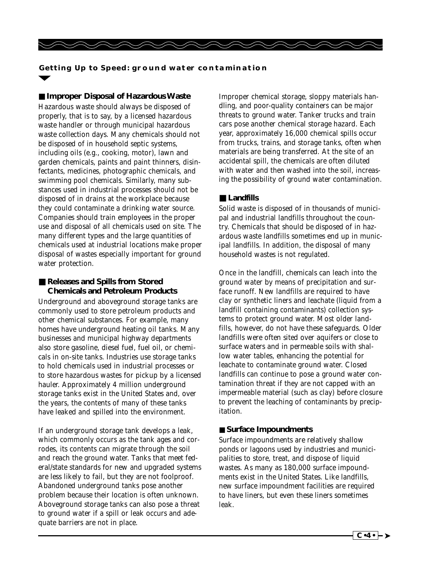

#### ■ **Improper Disposal of Hazardous Waste**

Hazardous waste should always be disposed of properly, that is to say, by a licensed hazardous waste handler or through municipal hazardous waste collection days. Many chemicals should not be disposed of in household septic systems, including oils (e.g., cooking, motor), lawn and garden chemicals, paints and paint thinners, disinfectants, medicines, photographic chemicals, and swimming pool chemicals. Similarly, many substances used in industrial processes should not be disposed of in drains at the workplace because they could contaminate a drinking water source. Companies should train employees in the proper use and disposal of all chemicals used on site. The many different types and the large quantities of chemicals used at industrial locations make proper disposal of wastes especially important for ground water protection.

#### ■ **Releases and Spills from Stored Chemicals and Petroleum Products**

Underground and aboveground storage tanks are commonly used to store petroleum products and other chemical substances. For example, many homes have underground heating oil tanks. Many businesses and municipal highway departments also store gasoline, diesel fuel, fuel oil, or chemicals in on-site tanks. Industries use storage tanks to hold chemicals used in industrial processes or to store hazardous wastes for pickup by a licensed hauler. Approximately 4 million underground storage tanks exist in the United States and, over the years, the contents of many of these tanks have leaked and spilled into the environment.

If an underground storage tank develops a leak, which commonly occurs as the tank ages and corrodes, its contents can migrate through the soil and reach the ground water. Tanks that meet federal/state standards for new and upgraded systems are less likely to fail, but they are not foolproof. Abandoned underground tanks pose another problem because their location is often unknown. Aboveground storage tanks can also pose a threat to ground water if a spill or leak occurs and adequate barriers are not in place.

Improper chemical storage, sloppy materials handling, and poor-quality containers can be major threats to ground water. Tanker trucks and train cars pose another chemical storage hazard. Each year, approximately 16,000 chemical spills occur from trucks, trains, and storage tanks, often when materials are being transferred. At the site of an accidental spill, the chemicals are often diluted with water and then washed into the soil, increasing the possibility of ground water contamination.

#### ■ **Landfills**

Solid waste is disposed of in thousands of municipal and industrial landfills throughout the country. Chemicals that should be disposed of in hazardous waste landfills sometimes end up in municipal landfills. In addition, the disposal of many household wastes is not regulated.

Once in the landfill, chemicals can leach into the ground water by means of precipitation and surface runoff. New landfills are required to have clay or synthetic liners and leachate (liquid from a landfill containing contaminants) collection systems to protect ground water. Most older landfills, however, do not have these safeguards. Older landfills were often sited over aquifers or close to surface waters and in permeable soils with shallow water tables, enhancing the potential for leachate to contaminate ground water. Closed landfills can continue to pose a ground water contamination threat if they are not capped with an impermeable material (such as clay) before closure to prevent the leaching of contaminants by precipitation.

#### ■ Surface Impoundments

Surface impoundments are relatively shallow ponds or lagoons used by industries and municipalities to store, treat, and dispose of liquid wastes. As many as 180,000 surface impoundments exist in the United States. Like landfills, new surface impoundment facilities are required to have liners, but even these liners sometimes leak.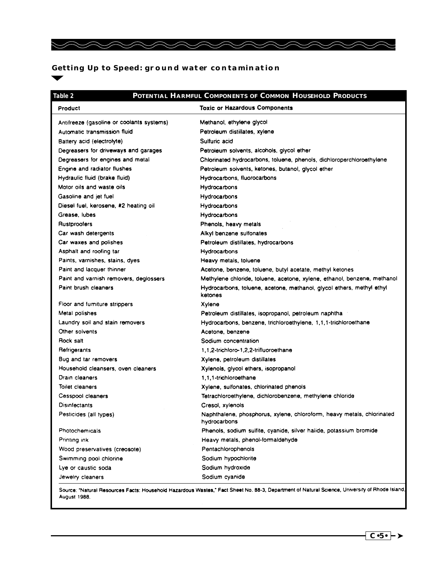$\curvearrowright$ 

 $\diagup$ 

 $\diagup$ 

 $\diagup$ 

/7  $\diagup$   $\curvearrowright$ 

 $\curvearrowleft$ 

 $\curvearrowright$ 

 $\curvearrowright$ 

 $\curvearrowright$ 

| POTENTIAL HARMFUL COMPONENTS OF COMMON HOUSEHOLD PRODUCTS<br>Table 2 |                                                                                        |  |
|----------------------------------------------------------------------|----------------------------------------------------------------------------------------|--|
| Product                                                              | <b>Toxic or Hazardous Components</b>                                                   |  |
| Antifreeze (gasoline or coolants systems)                            | Methanol, ethylene glycol                                                              |  |
| Automatic transmission fluid                                         | Petroleum distillates, xylene                                                          |  |
| Battery acid (electrolyte)                                           | Sulfuric acid                                                                          |  |
| Degreasers for driveways and garages                                 | Petroleum solvents, alcohols, glycol ether                                             |  |
| Degreasers for engines and metal                                     | Chlorinated hydrocarbons, toluene, phenols, dichloroperchloroethylene                  |  |
| Engine and radiator flushes                                          | Petroleum solvents, ketones, butanol, glycol ether                                     |  |
| Hydraulic fluid (brake fluid)                                        | Hydrocarbons, fluorocarbons                                                            |  |
| Motor oils and waste oils                                            | <b>Hydrocarbons</b>                                                                    |  |
| Gasoline and jet fuel                                                | Hydrocarbons                                                                           |  |
| Diesel fuel, kerosene, #2 heating oil                                | Hydrocarbons                                                                           |  |
| Grease, lubes                                                        | Hydrocarbons                                                                           |  |
| <b>Rustproofers</b>                                                  | Phenols, heavy metals                                                                  |  |
| Car wash detergents                                                  | Alkyl benzene sulfonates                                                               |  |
| Car waxes and polishes                                               | Petroleum distillates, hydrocarbons                                                    |  |
| Asphalt and roofing tar                                              | <b>Hydrocarbons</b>                                                                    |  |
| Paints, varnishes, stains, dyes                                      | Heavy metals, toluene                                                                  |  |
| Paint and lacquer thinner                                            | Acetone, benzene, toluene, butyl acetate, methyl ketones                               |  |
| Paint and varnish removers, deglossers                               | Methylene chloride, toluene, acetone, xylene, ethanol, benzene, methanol               |  |
| Paint brush cleaners                                                 | Hydrocarbons, toluene, acetone, methanol, glycol ethers, methyl ethyl<br>ketones       |  |
| Floor and furniture strippers                                        | Xylene                                                                                 |  |
| Metal polishes                                                       | Petroleum distillates, isopropanol, petroleum naphtha                                  |  |
| Laundry soil and stain removers                                      | Hydrocarbons, benzene, trichloroethylene, 1,1,1-trichloroethane                        |  |
| Other solvents                                                       | Acetone, benzene                                                                       |  |
| Rock salt                                                            | Sodium concentration                                                                   |  |
| Refrigerants                                                         | 1,1,2-trichloro-1,2,2-trifluoroethane                                                  |  |
| Bug and tar removers                                                 | Xylene, petroleum distillates                                                          |  |
| Household cleansers, oven cleaners                                   | Xylenols, glycol ethers, isopropanol                                                   |  |
| Drain cleaners                                                       | 1.1.1-trichloroethane                                                                  |  |
| Toilet cleaners                                                      | Xylene, sulfonates, chlorinated phenols                                                |  |
| Cesspool cleaners                                                    | Tetrachloroethylene, dichlorobenzene, methylene chloride                               |  |
| Disinfectants                                                        | Cresol, xvienois                                                                       |  |
| Pesticides (all types)                                               | Naphthalene, phosphorus, xylene, chloroform, heavy metals, chlorinated<br>hydrocarbons |  |
| Photochemicals                                                       | Phenols, sodium sulfite, cyanide, silver halide, potassium bromide                     |  |
| Printing ink                                                         | Heavy metals, phenol-formaldehyde                                                      |  |
| Wood preservatives (creosote)                                        | Pentachlorophenols                                                                     |  |
| Swimming pool chlorine                                               | Sodium hypochlorite                                                                    |  |
| Lye or caustic soda                                                  | Sodium hydroxide                                                                       |  |
| Jewelry cleaners                                                     | Sodium cyanide                                                                         |  |

Source: "Natural Resources Facts: Household Hazardous Wastes," Fact Sheet No. 88-3, Department of Natural Science, University of Rhode Island, August 1988.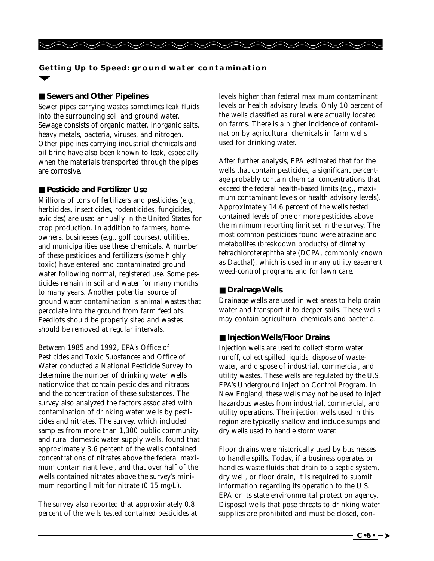

#### ■ **Sewers and Other Pipelines**

Sewer pipes carrying wastes sometimes leak fluids into the surrounding soil and ground water. Sewage consists of organic matter, inorganic salts, heavy metals, bacteria, viruses, and nitrogen. Other pipelines carrying industrial chemicals and oil brine have also been known to leak, especially when the materials transported through the pipes are corrosive.

#### ■ **Pesticide and Fertilizer Use**

Millions of tons of fertilizers and pesticides (e.g., herbicides, insecticides, rodenticides, fungicides, avicides) are used annually in the United States for crop production. In addition to farmers, homeowners, businesses (e.g., golf courses), utilities, and municipalities use these chemicals. A number of these pesticides and fertilizers (some highly toxic) have entered and contaminated ground water following normal, registered use. Some pesticides remain in soil and water for many months to many years. Another potential source of ground water contamination is animal wastes that percolate into the ground from farm feedlots. Feedlots should be properly sited and wastes should be removed at regular intervals.

Between 1985 and 1992, EPA's Office of Pesticides and Toxic Substances and Office of Water conducted a National Pesticide Survey to determine the number of drinking water wells nationwide that contain pesticides and nitrates and the concentration of these substances. The survey also analyzed the factors associated with contamination of drinking water wells by pesticides and nitrates. The survey, which included samples from more than 1,300 public community and rural domestic water supply wells, found that approximately 3.6 percent of the wells contained concentrations of nitrates above the federal maximum contaminant level, and that over half of the wells contained nitrates above the survey's minimum reporting limit for nitrate (0.15 mg/L).

The survey also reported that approximately 0.8 percent of the wells tested contained pesticides at levels higher than federal maximum contaminant levels or health advisory levels. Only 10 percent of the wells classified as rural were actually located on farms. There is a higher incidence of contamination by agricultural chemicals in farm wells used for drinking water.

After further analysis, EPA estimated that for the wells that contain pesticides, a significant percentage probably contain chemical concentrations that exceed the federal health-based limits (e.g., maximum contaminant levels or health advisory levels). Approximately 14.6 percent of the wells tested contained levels of one or more pesticides above the minimum reporting limit set in the survey. The most common pesticides found were atrazine and metabolites (breakdown products) of dimethyl tetrachloroterephthalate (DCPA, commonly known as Dacthal), which is used in many utility easement weed-control programs and for lawn care.

#### ■ **Drainage Wells**

Drainage wells are used in wet areas to help drain water and transport it to deeper soils. These wells may contain agricultural chemicals and bacteria.

#### ■ **Injection Wells/Floor Drains**

Injection wells are used to collect storm water runoff, collect spilled liquids, dispose of wastewater, and dispose of industrial, commercial, and utility wastes. These wells are regulated by the U.S. EPA's Underground Injection Control Program. In New England, these wells may not be used to inject hazardous wastes from industrial, commercial, and utility operations. The injection wells used in this region are typically shallow and include sumps and dry wells used to handle storm water.

Floor drains were historically used by businesses to handle spills. Today, if a business operates or handles waste fluids that drain to a septic system, dry well, or floor drain, it is required to submit information regarding its operation to the U.S. EPA or its state environmental protection agency. Disposal wells that pose threats to drinking water supplies are prohibited and must be closed, con-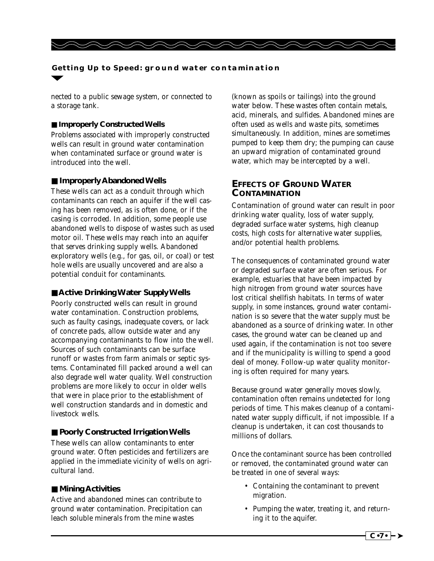

nected to a public sewage system, or connected to a storage tank.

#### ■ **Improperly Constructed Wells**

Problems associated with improperly constructed wells can result in ground water contamination when contaminated surface or ground water is introduced into the well.

#### ■ **Improperly Abandoned Wells**

These wells can act as a conduit through which contaminants can reach an aquifer if the well casing has been removed, as is often done, or if the casing is corroded. In addition, some people use abandoned wells to dispose of wastes such as used motor oil. These wells may reach into an aquifer that serves drinking supply wells. Abandoned exploratory wells (e.g., for gas, oil, or coal) or test hole wells are usually uncovered and are also a potential conduit for contaminants.

#### ■ **Active Drinking Water Supply Wells**

Poorly constructed wells can result in ground water contamination. Construction problems, such as faulty casings, inadequate covers, or lack of concrete pads, allow outside water and any accompanying contaminants to flow into the well. Sources of such contaminants can be surface runoff or wastes from farm animals or septic systems. Contaminated fill packed around a well can also degrade well water quality. Well construction problems are more likely to occur in older wells that were in place prior to the establishment of well construction standards and in domestic and livestock wells.

#### ■ **Poorly Constructed Irrigation Wells**

These wells can allow contaminants to enter ground water. Often pesticides and fertilizers are applied in the immediate vicinity of wells on agricultural land.

#### ■ **Mining Activities**

Active and abandoned mines can contribute to ground water contamination. Precipitation can leach soluble minerals from the mine wastes

(known as spoils or tailings) into the ground water below. These wastes often contain metals, acid, minerals, and sulfides. Abandoned mines are often used as wells and waste pits, sometimes simultaneously. In addition, mines are sometimes pumped to keep them dry; the pumping can cause an upward migration of contaminated ground water, which may be intercepted by a well.

#### **EFFECTS OF GROUND WATER CONTAMINATION**

Contamination of ground water can result in poor drinking water quality, loss of water supply, degraded surface water systems, high cleanup costs, high costs for alternative water supplies, and/or potential health problems.

The consequences of contaminated ground water or degraded surface water are often serious. For example, estuaries that have been impacted by high nitrogen from ground water sources have lost critical shellfish habitats. In terms of water supply, in some instances, ground water contamination is so severe that the water supply must be abandoned as a source of drinking water. In other cases, the ground water can be cleaned up and used again, if the contamination is not too severe and if the municipality is willing to spend a good deal of money. Follow-up water quality monitoring is often required for many years.

Because ground water generally moves slowly, contamination often remains undetected for long periods of time. This makes cleanup of a contaminated water supply difficult, if not impossible. If a cleanup is undertaken, it can cost thousands to millions of dollars.

Once the contaminant source has been controlled or removed, the contaminated ground water can be treated in one of several ways:

- Containing the contaminant to prevent migration.
- Pumping the water, treating it, and returning it to the aquifer.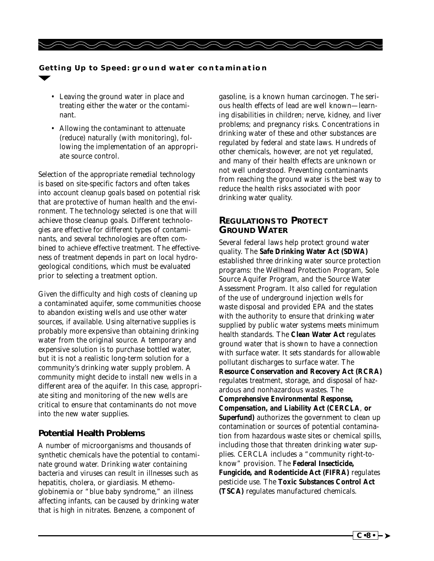

- Leaving the ground water in place and treating either the water or the contaminant.
- Allowing the contaminant to attenuate (reduce) naturally (with monitoring), following the implementation of an appropriate source control.

Selection of the appropriate remedial technology is based on site-specific factors and often takes into account cleanup goals based on potential risk that are protective of human health and the environment. The technology selected is one that will achieve those cleanup goals. Different technologies are effective for different types of contaminants, and several technologies are often combined to achieve effective treatment. The effectiveness of treatment depends in part on local hydrogeological conditions, which must be evaluated prior to selecting a treatment option.

Given the difficulty and high costs of cleaning up a contaminated aquifer, some communities choose to abandon existing wells and use other water sources, if available. Using alternative supplies is probably more expensive than obtaining drinking water from the original source. A temporary and expensive solution is to purchase bottled water, but it is not a realistic long-term solution for a community's drinking water supply problem. A community might decide to install new wells in a different area of the aquifer. In this case, appropriate siting and monitoring of the new wells are critical to ensure that contaminants do not move into the new water supplies.

#### **Potential Health Problems**

A number of microorganisms and thousands of synthetic chemicals have the potential to contaminate ground water. Drinking water containing bacteria and viruses can result in illnesses such as hepatitis, cholera, or giardiasis. Methemoglobinemia or "blue baby syndrome," an illness affecting infants, can be caused by drinking water that is high in nitrates. Benzene, a component of

gasoline, is a known human carcinogen. The serious health effects of lead are well known—learning disabilities in children; nerve, kidney, and liver problems; and pregnancy risks. Concentrations in drinking water of these and other substances are regulated by federal and state laws. Hundreds of other chemicals, however, are not yet regulated, and many of their health effects are unknown or not well understood. Preventing contaminants from reaching the ground water is the best way to reduce the health risks associated with poor drinking water quality.

#### **REGULATIONS TO PROTECT GROUND WATER**

Several federal laws help protect ground water quality. The **Safe Drinking Water Act (SDWA)** established three drinking water source protection programs: the Wellhead Protection Program, Sole Source Aquifer Program, and the Source Water Assessment Program. It also called for regulation of the use of underground injection wells for waste disposal and provided EPA and the states with the authority to ensure that drinking water supplied by public water systems meets minimum health standards. The **Clean Water Act** regulates ground water that is shown to have a connection with surface water. It sets standards for allowable pollutant discharges to surface water. The **Resource Conservation and Recovery Act (RCRA)** regulates treatment, storage, and disposal of hazardous and nonhazardous wastes. The **Comprehensive Environmental Response, Compensation, and Liability Act (CERCLA**, **or Superfund)** authorizes the government to clean up contamination or sources of potential contamination from hazardous waste sites or chemical spills, including those that threaten drinking water supplies. CERCLA includes a "community right-toknow" provision. The **Federal Insecticide, Fungicide, and Rodenticide Act (FIFRA)** regulates pesticide use. The **Toxic Substances Control Act (TSCA)** regulates manufactured chemicals.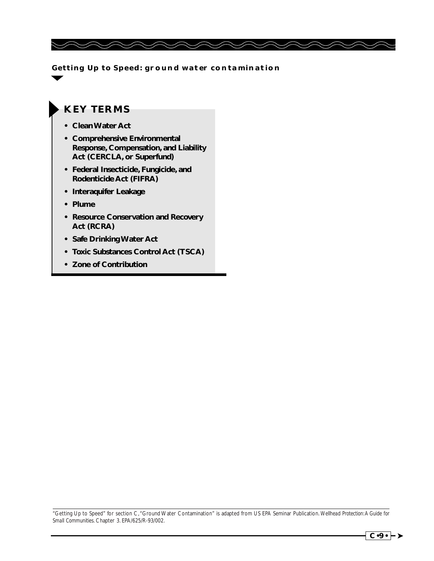$\leftharpoondown$ 

/-

 $\curvearrowright$ 

#### **KEY TERMS**

- **Clean Water Act**
- **Comprehensive Environmental Response, Compensation, and Liability Act (CERCLA, or Superfund)**
- **Federal Insecticide, Fungicide, and Rodenticide Act (FIFRA)**
- **Interaquifer Leakage**
- **Plume**
- **Resource Conservation and Recovery Act (RCRA)**
- **Safe Drinking Water Act**
- **Toxic Substances Control Act (TSCA)**
- **Zone of Contribution**

"Getting Up to Speed" for section C,"Ground Water Contamination" is adapted from US EPA Seminar Publication. *Wellhead Protection:A Guide for Small Communities*. Chapter 3. EPA/625/R-93/002.